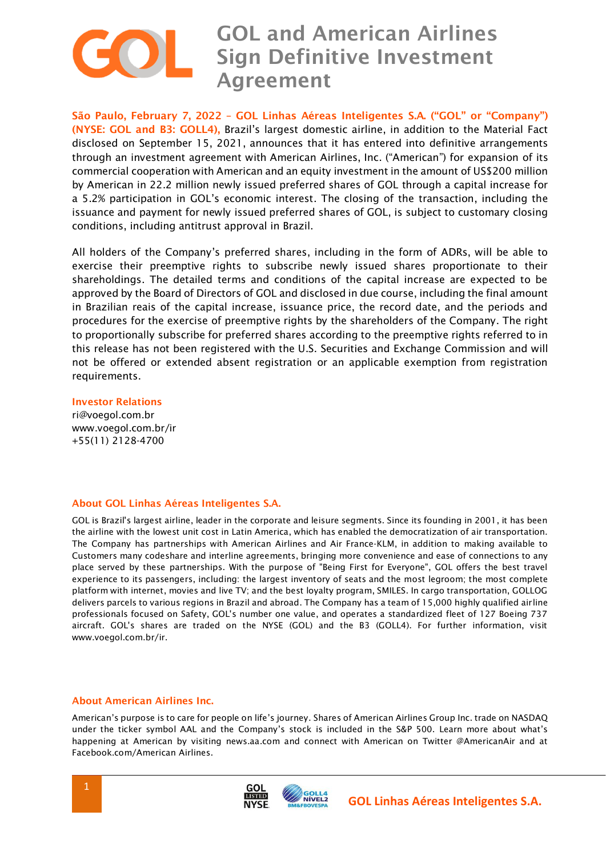

 **São Paulo, February 7, 2022 – GOL Linhas Aéreas Inteligentes S.A. ("GOL" or "Company") (NYSE: GOL and B3: GOLL4),** Brazil's largest domestic airline, in addition to the Material Fact disclosed on September 15, 2021, announces that it has entered into definitive arrangements through an investment agreement with American Airlines, Inc. ("American") for expansion of its commercial cooperation with American and an equity investment in the amount of US\$200 million by American in 22.2 million newly issued preferred shares of GOL through a capital increase for a 5.2% participation in GOL's economic interest. The closing of the transaction, including the issuance and payment for newly issued preferred shares of GOL, is subject to customary closing conditions, including antitrust approval in Brazil.

All holders of the Company's preferred shares, including in the form of ADRs, will be able to exercise their preemptive rights to subscribe newly issued shares proportionate to their shareholdings. The detailed terms and conditions of the capital increase are expected to be approved by the Board of Directors of GOL and disclosed in due course, including the final amount in Brazilian reais of the capital increase, issuance price, the record date, and the periods and procedures for the exercise of preemptive rights by the shareholders of the Company. The right to proportionally subscribe for preferred shares according to the preemptive rights referred to in this release has not been registered with the U.S. Securities and Exchange Commission and will not be offered or extended absent registration or an applicable exemption from registration requirements.

**Investor Relations** ri@voegol.com.br www.voegol.com.br/ir

+55(11) 2128-4700

## **About GOL Linhas Aéreas Inteligentes S.A.**

GOL is Brazil's largest airline, leader in the corporate and leisure segments. Since its founding in 2001, it has been the airline with the lowest unit cost in Latin America, which has enabled the democratization of air transportation. The Company has partnerships with American Airlines and Air France-KLM, in addition to making available to Customers many codeshare and interline agreements, bringing more convenience and ease of connections to any place served by these partnerships. With the purpose of "Being First for Everyone", GOL offers the best travel experience to its passengers, including: the largest inventory of seats and the most legroom; the most complete platform with internet, movies and live TV; and the best loyalty program, SMILES. In cargo transportation, GOLLOG delivers parcels to various regions in Brazil and abroad. The Company has a team of 15,000 highly qualified airline professionals focused on Safety, GOL's number one value, and operates a standardized fleet of 127 Boeing 737 aircraft. GOL's shares are traded on the NYSE (GOL) and the B3 (GOLL4). For further information, visit www.voegol.com.br/ir.

## **About American Airlines Inc.**

American's purpose is to care for people on life's journey. Shares of American Airlines Group Inc. trade on NASDAQ under the ticker symbol AAL and the Company's stock is included in the S&P 500. Learn more about what's happening at American by visiting news.aa.com and connect with American on Twitter @AmericanAir and at Facebook.com/American Airlines.